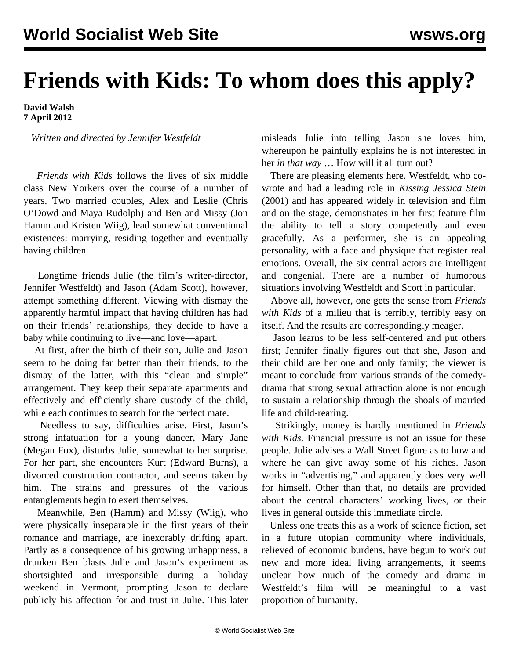## **Friends with Kids: To whom does this apply?**

## **David Walsh 7 April 2012**

*Written and directed by Jennifer Westfeldt*

 *Friends with Kids* follows the lives of six middle class New Yorkers over the course of a number of years. Two married couples, Alex and Leslie (Chris O'Dowd and Maya Rudolph) and Ben and Missy (Jon Hamm and Kristen Wiig), lead somewhat conventional existences: marrying, residing together and eventually having children.

 Longtime friends Julie (the film's writer-director, Jennifer Westfeldt) and Jason (Adam Scott), however, attempt something different. Viewing with dismay the apparently harmful impact that having children has had on their friends' relationships, they decide to have a baby while continuing to live—and love—apart.

 At first, after the birth of their son, Julie and Jason seem to be doing far better than their friends, to the dismay of the latter, with this "clean and simple" arrangement. They keep their separate apartments and effectively and efficiently share custody of the child, while each continues to search for the perfect mate.

 Needless to say, difficulties arise. First, Jason's strong infatuation for a young dancer, Mary Jane (Megan Fox), disturbs Julie, somewhat to her surprise. For her part, she encounters Kurt (Edward Burns), a divorced construction contractor, and seems taken by him. The strains and pressures of the various entanglements begin to exert themselves.

 Meanwhile, Ben (Hamm) and Missy (Wiig), who were physically inseparable in the first years of their romance and marriage, are inexorably drifting apart. Partly as a consequence of his growing unhappiness, a drunken Ben blasts Julie and Jason's experiment as shortsighted and irresponsible during a holiday weekend in Vermont, prompting Jason to declare publicly his affection for and trust in Julie. This later misleads Julie into telling Jason she loves him, whereupon he painfully explains he is not interested in her *in that way* … How will it all turn out?

 There are pleasing elements here. Westfeldt, who cowrote and had a leading role in *Kissing Jessica Stein* (2001) and has appeared widely in television and film and on the stage, demonstrates in her first feature film the ability to tell a story competently and even gracefully. As a performer, she is an appealing personality, with a face and physique that register real emotions. Overall, the six central actors are intelligent and congenial. There are a number of humorous situations involving Westfeldt and Scott in particular.

 Above all, however, one gets the sense from *Friends with Kids* of a milieu that is terribly, terribly easy on itself. And the results are correspondingly meager.

 Jason learns to be less self-centered and put others first; Jennifer finally figures out that she, Jason and their child are her one and only family; the viewer is meant to conclude from various strands of the comedydrama that strong sexual attraction alone is not enough to sustain a relationship through the shoals of married life and child-rearing.

 Strikingly, money is hardly mentioned in *Friends with Kids*. Financial pressure is not an issue for these people. Julie advises a Wall Street figure as to how and where he can give away some of his riches. Jason works in "advertising," and apparently does very well for himself. Other than that, no details are provided about the central characters' working lives, or their lives in general outside this immediate circle.

 Unless one treats this as a work of science fiction, set in a future utopian community where individuals, relieved of economic burdens, have begun to work out new and more ideal living arrangements, it seems unclear how much of the comedy and drama in Westfeldt's film will be meaningful to a vast proportion of humanity.